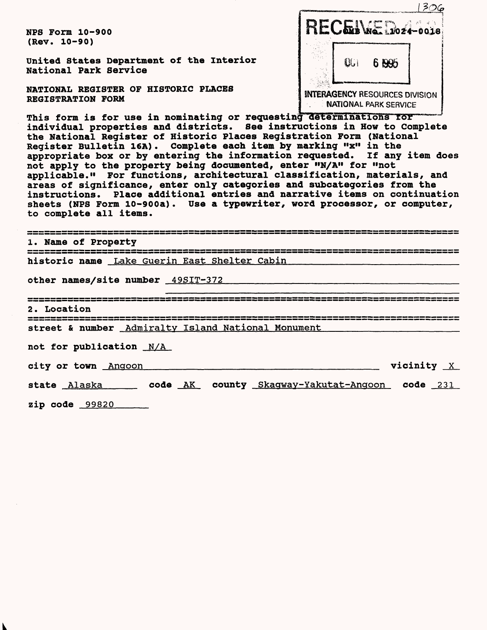NFS Form 10-900 (Rev. 10-90)

United States Department of the Interior National Park Service

NATIONAL REGISTER OF HISTORIC PLACES REGISTRATION FORM



This form is for use in nominating or requesting determinations for individual properties and districts. See instructions in How to Complete the National Register of Historic Places Registration Form (National Register Bulletin 16A). Complete each item by marking "x" in the appropriate box or by entering the information requested. If any item does not apply to the property being documented, enter "N/A11 for "not applicable." For functions, architectural classification, materials, and areas of significance, enter only categories and subcategories from the instructions. Place additional entries and narrative items on continuation sheets (NFS Form I0-900a). Use a typewriter, word processor, or computer, to complete all items.

| 1. Name of Property                                         |
|-------------------------------------------------------------|
| historic name Lake Guerin East Shelter Cabin                |
| other names/site number 49SIT-372                           |
| 2. Location                                                 |
| street & number Admiralty Island National Monument          |
| not for publication N/A                                     |
| city or town Angoon                                         |
| state Alaska code AK county Skaqway-Yakutat-Angoon code 231 |
| zip code 99820                                              |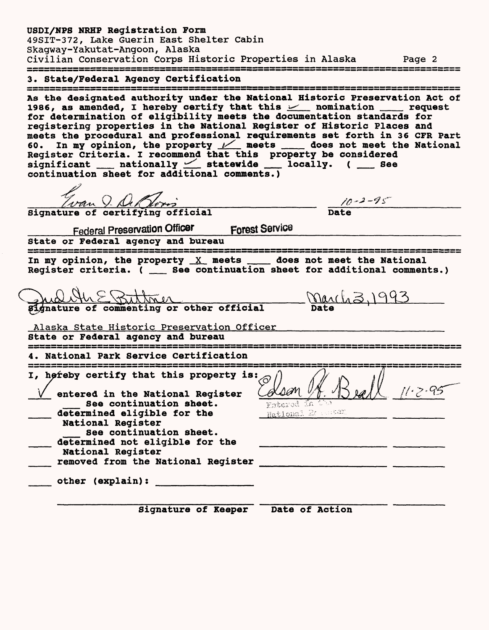| USDI/NPS NRHP Registration Form<br>49SIT-372, Lake Guerin East Shelter Cabin<br>Skagway-Yakutat-Angoon, Alaska<br>Civilian Conservation Corps Historic Properties in Alaska Page 2                                                                                                                                                                                                                                                                                                                                                                                                             |                                                                          |
|------------------------------------------------------------------------------------------------------------------------------------------------------------------------------------------------------------------------------------------------------------------------------------------------------------------------------------------------------------------------------------------------------------------------------------------------------------------------------------------------------------------------------------------------------------------------------------------------|--------------------------------------------------------------------------|
| 3. State/Federal Agency Certification                                                                                                                                                                                                                                                                                                                                                                                                                                                                                                                                                          |                                                                          |
| As the designated authority under the National Historic Preservation Act of<br>1986, as amended, I hereby certify that this $\leq$ nomination _____ request<br>for determination of eligibility meets the documentation standards for<br>registering properties in the National Register of Historic Places and<br>meets the procedural and professional requirements set forth in 36 CFR Part<br>60.<br>Register Criteria. I recommend that this property be considered<br>significant ___ nationally $\leq$ statewide ___ locally. ( ___ See<br>continuation sheet for additional comments.) | In my opinion, the property $\nu$ meets ____ does not meet the National  |
| Signature of certifying official                                                                                                                                                                                                                                                                                                                                                                                                                                                                                                                                                               | $rac{10-2-95}{\text{Date}}$                                              |
| Federal Preservation Officer Forest Service<br>State or Federal agency and bureau                                                                                                                                                                                                                                                                                                                                                                                                                                                                                                              |                                                                          |
| In my opinion, the property $X$ meets _____ does not meet the National<br>Register criteria. ( __ See continuation sheet for additional comments.)<br>Jud ALE Bilbriz<br>Signature of commenting or other official<br>Alaska State Historic Preservation Officer<br>State or Federal agency and bureau                                                                                                                                                                                                                                                                                         | Mach3,1993                                                               |
| 4. National Park Service Certification                                                                                                                                                                                                                                                                                                                                                                                                                                                                                                                                                         |                                                                          |
| I, hereby certify that this property is: $\Omega$<br>entered in the National Register<br>See continuation sheet.<br>determined eligible for the<br>National Register<br>See continuation sheet.<br>determined not eligible for the<br>National Register<br>removed from the National Register                                                                                                                                                                                                                                                                                                  | $\sqrt{k}$<br>ÇΨ<br>11 - 7 - 95<br>Faterod<br>- in V<br>National Equator |
| other (explain):                                                                                                                                                                                                                                                                                                                                                                                                                                                                                                                                                                               |                                                                          |
| Signature of Keeper Date of Action                                                                                                                                                                                                                                                                                                                                                                                                                                                                                                                                                             |                                                                          |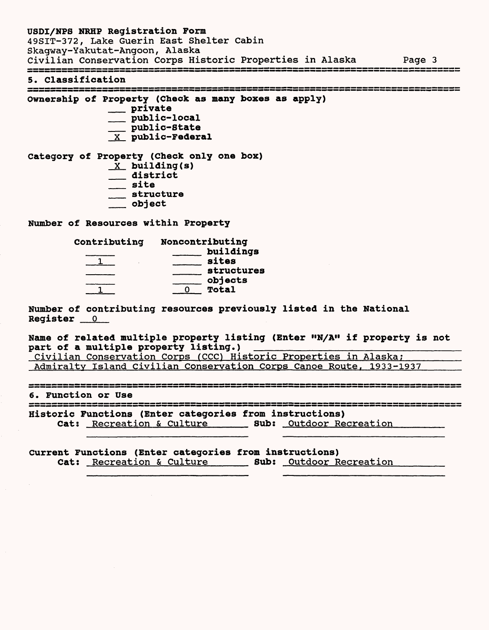USDI/NPS NRHP Registration Form 49SIT-372, Lake Guerin East Shelter Cabin Skagway-Yakutat-Angoon, Alaska Civilian Conservation Corps Historic Properties in Alaska Page 3 5. Classification Ownership of Property (Check as many boxes as apply) \_\_ private \_\_ public-local \_\_ public-State X public-Federal Category of Property (Check only one box)  $X$  building(s) \_\_ district \_\_ site \_\_ structure \_\_ object Number of Resources within Property Contributing Noncontributing \_\_\_\_\_\_ buildings  $\frac{1}{\sqrt{1-\frac{1}{2}}}\sin\theta$ **\_\_\_\_\_** structures \_\_\_ \_\_\_ objects  $\frac{1}{1}$  0 Total Number of contributing resources previously listed in the National Register 0 Name of related multiple property listing (Enter "N/A" if property is not part of a multiple property listing.) Civilian Conservation Corps (CCC) Historic Properties in Alaska; Admiraltv Island Civilian Conservation Corps Canoe Route, 1933-1937 6. Function or Use Historic Functions (Enter categories from instructions) Cat: Recreation & Culture 5000 Sub: Outdoor Recreation

Current Functions (Enter categories from instructions) Cat: Recreation & Culture\_\_\_\_\_ Sub: Outdoor Recreation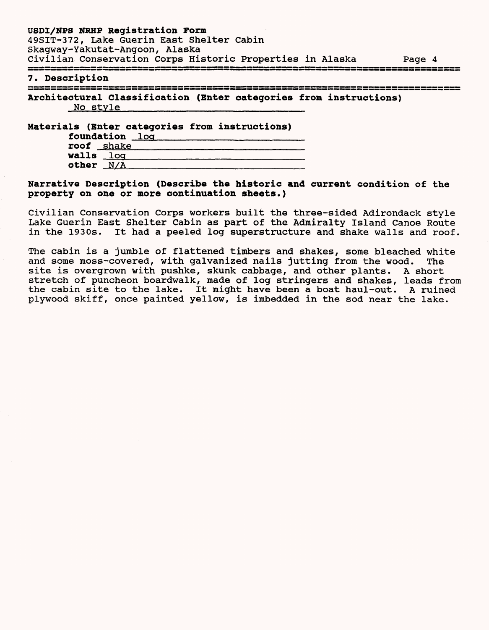| <b>USDI/NPS NRHP Registration Form</b>                                                                                                                                                                                       |        |  |
|------------------------------------------------------------------------------------------------------------------------------------------------------------------------------------------------------------------------------|--------|--|
| 49SIT-372, Lake Guerin East Shelter Cabin                                                                                                                                                                                    |        |  |
| Skaqway-Yakutat-Angoon, Alaska                                                                                                                                                                                               |        |  |
| Civilian Conservation Corps Historic Properties in Alaska                                                                                                                                                                    | Page 4 |  |
| د نہیں ہیں جس کی بڑی انہن میں بھی اس بڑی بڑی بھی دی تک گیا جب سے دی گیا گی دی جب سے اس سے بڑی سے بہت سے سے بچک انہ ک<br>سبحه والمن الاشه السال المزار وسرار وكال أعلال قماي بالتارد بالتاريخ الكالة الكالة ويحي مرابات بالكر |        |  |

# 7. Description<br>=================

Architectural Classification (Enter categories from instructions)

No style\_\_\_\_\_\_\_\_\_\_\_\_\_\_\_\_\_\_\_\_\_\_\_\_\_

Materials (Enter categories from instructions)<br>foundation log

|                  | foundation log |  |
|------------------|----------------|--|
|                  | roof shake     |  |
| <b>walls</b> log |                |  |
| other N/A        |                |  |

### Narrative Description (Describe the historic and current condition of the property on one or more continuation sheets.)

Civilian Conservation Corps workers built the three-sided Adirondack style Lake Guerin East Shelter Cabin as part of the Admiralty Island Canoe Route in the 1930s. It had a peeled log superstructure and shake walls and roof.

The cabin is a jumble of flattened timbers and shakes, some bleached white and some moss-covered, with galvanized nails jutting from the wood. The site is overgrown with pushke, skunk cabbage, and other plants. A short stretch of puncheon boardwalk, made of log stringers and shakes, leads from the cabin site to the lake. It might have been a boat haul-out. A ruined plywood skiff, once painted yellow, is imbedded in the sod near the lake.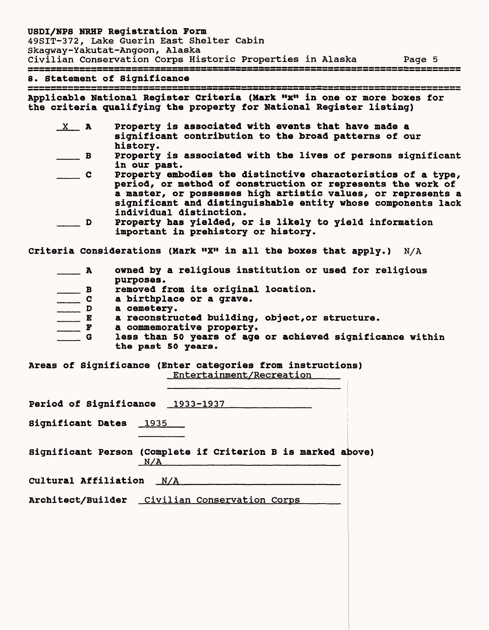|                                                                                                                              | USDI/NPS NRHP Registration Form<br>49SIT-372, Lake Guerin East Shelter Cabin<br>Skagway-Yakutat-Angoon, Alaska<br>Civilian Conservation Corps Historic Properties in Alaska<br>Page 5                                                                                                  |
|------------------------------------------------------------------------------------------------------------------------------|----------------------------------------------------------------------------------------------------------------------------------------------------------------------------------------------------------------------------------------------------------------------------------------|
| 8. Statement of Significance                                                                                                 |                                                                                                                                                                                                                                                                                        |
|                                                                                                                              | Applicable National Register Criteria (Mark "x" in one or more boxes for<br>the criteria qualifying the property for National Register listing)                                                                                                                                        |
| $X$ $A$                                                                                                                      | Property is associated with events that have made a<br>significant contribution to the broad patterns of our<br>history.                                                                                                                                                               |
| $\overline{\mathbf{B}}$                                                                                                      | Property is associated with the lives of persons significant<br>in our past.                                                                                                                                                                                                           |
| $\overline{\phantom{a}}$ $\overline{\phantom{a}}$ $\overline{\phantom{a}}$ $\overline{\phantom{a}}$ $\overline{\phantom{a}}$ | Property embodies the distinctive characteristics of a type,<br>period, or method of construction or represents the work of<br>a master, or possesses high artistic values, or represents a<br>significant and distinguishable entity whose components lack<br>individual distinction. |
| $\blacksquare$                                                                                                               | Property has yielded, or is likely to yield information<br>important in prehistory or history.                                                                                                                                                                                         |
|                                                                                                                              | Criteria Considerations (Mark "X" in all the boxes that apply.)<br>N/A                                                                                                                                                                                                                 |
| $\overline{\phantom{a}}$ $\overline{\phantom{a}}$                                                                            | owned by a religious institution or used for religious<br>purposes.                                                                                                                                                                                                                    |
| $\qquad \qquad \blacksquare$<br>$\overline{\phantom{a}}$ c<br>$\overline{\phantom{a}}$                                       | removed from its original location.<br>a birthplace or a grave.<br>a cemetery.                                                                                                                                                                                                         |
| $\mathbf{E}$<br>$\mathbf{F}$<br>$\overline{\phantom{a}}$ G                                                                   | a reconstructed building, object, or structure.<br>a commemorative property.<br>less than 50 years of age or achieved significance within<br>the past 50 years.                                                                                                                        |
|                                                                                                                              | Areas of Significance (Enter categories from instructions)<br>Entertainment/Recreation                                                                                                                                                                                                 |
|                                                                                                                              | Period of Significance 1933-1937                                                                                                                                                                                                                                                       |
| Significant Dates 1935                                                                                                       |                                                                                                                                                                                                                                                                                        |

Significant Person (Complete if Criterion B is marked above)  $N/A$ 

Cultural Affiliation N/A<br>
Manuscription N/A

Architect/Builder Civilian Conservation Corps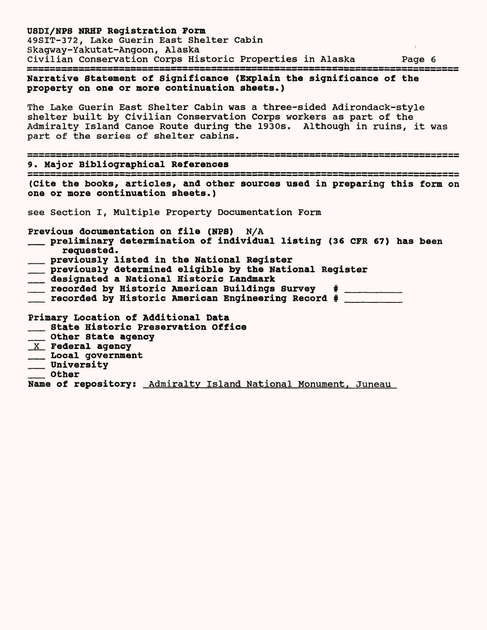| USDI/NPS NRHP Registration Form<br>49SIT-372, Lake Guerin East Shelter Cabin<br>Skagway-Yakutat-Angoon, Alaska<br>Civilian Conservation Corps Historic Properties in Alaska Bage 6                                                                                                                                                                                                                                                                                                                                    |
|-----------------------------------------------------------------------------------------------------------------------------------------------------------------------------------------------------------------------------------------------------------------------------------------------------------------------------------------------------------------------------------------------------------------------------------------------------------------------------------------------------------------------|
| Narrative Statement of Significance (Explain the significance of the<br>property on one or more continuation sheets.)                                                                                                                                                                                                                                                                                                                                                                                                 |
| The Lake Guerin East Shelter Cabin was a three-sided Adirondack-style<br>shelter built by Civilian Conservation Corps workers as part of the<br>Admiralty Island Canoe Route during the 1930s. Although in ruins, it was<br>part of the series of shelter cabins.                                                                                                                                                                                                                                                     |
| 9. Major Bibliographical References                                                                                                                                                                                                                                                                                                                                                                                                                                                                                   |
| (Cite the books, articles, and other sources used in preparing this form on<br>one or more continuation sheets.)<br>see Section I, Multiple Property Documentation Form<br>Previous documentation on file (NPS) N/A<br>__ preliminary determination of individual listing (36 CFR 67) has been<br>requested.<br>previously listed in the National Register<br>__ previously determined eligible by the National Register<br>designated a National Historic Landmark<br>recorded by Historic American Buildings Survey |
| Primary Location of Additional Data<br>State Historic Preservation Office<br>Other State agency<br>X Federal agency<br>Local government<br>University<br>Other<br>Name of repository: Admiralty Island National Monument, Juneau                                                                                                                                                                                                                                                                                      |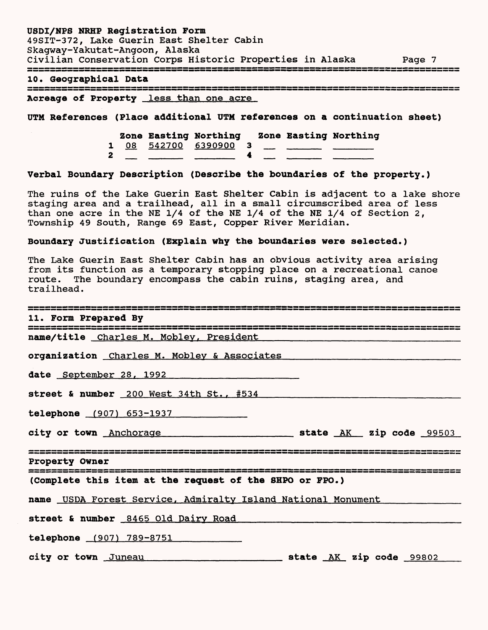USDI/NPS NRHP Registration Form 49SIT-372, Lake Guerin East Shelter Cabin Skagway-Yakutat-Angoon, Alaska Civilian Conservation Corps Historic Properties in Alaska Page 7

**10. Geographical Data Acreage of Property less than one acre**

**UTM References (Place additional UTM references on a continuation sheet)**

**Zone Easting Northing Zone Easting Northing** 1 08 542700 6390900 3 \_ \_\_\_\_\_ \_\_\_\_\_\_  $2 \frac{2}{108} \frac{542/00}{242 \cdot 000} \frac{6390900}{24} \frac{3}{4} - \frac{2000}{2000} \frac{2000}{24}$ 

#### **Verbal Boundary Description (Describe the boundaries of the property.)**

The ruins of the Lake Guerin East Shelter Cabin is adjacent to a lake shore staging area and a trailhead, all in a small circumscribed area of less than one acre in the NE 1/4 of the NE 1/4 of the NE 1/4 of Section 2, Township 49 South, Range 69 East, Copper River Meridian.

### **Boundary Justification (Explain why the boundaries were selected.)**

The Lake Guerin East Shelter Cabin has an obvious activity area arising from its function as a temporary stopping place on a recreational canoe route. The boundary encompass the cabin ruins, staging area, and trailhead.

## 

**11. Form Prepared By** name/title Charles M. Mobley, President

organization Charles M. Mobley & Associates

date September 28, 1992

street & number 200 West 34th St., #534

telephone  $(907)$  653-1937 \_\_\_\_\_\_\_\_\_

city or town Anchorage and State AK zip code 99503

**Property Owner (Complete this item at the request of the SHPO or FPO.)**

name USDA Forest Service, Admiralty Island National Monument

street & number 8465 Old Dairy Road

telephone (907) 789-8751\_\_\_\_\_\_\_\_\_

city or town Juneau\_\_\_\_\_\_\_\_\_\_\_\_\_\_\_\_\_\_ state AK zip code 99802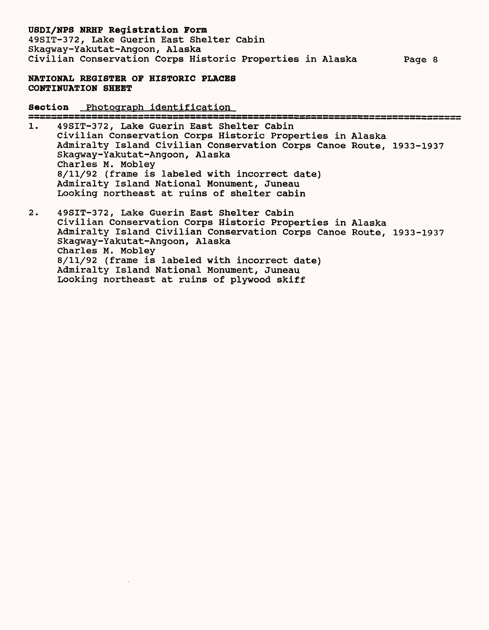**NATIONAL REGISTER OF HISTORIC PLACES CONTINUATION SHEET**

**Section** Photograph identification

- ہی ہیں ہیں تھا بڑنا اپن چلی تھا کہ ایچ ٹھا جاؤ ایچ کی لینا ہو ایپ کہ ابن نہم کو لینا کا کہ ایپ ٹی چلا گیا تک ش<br>میر کہ دور دو بلار ایپر بڑھ ڈال لگ کہ تھا کہ ایپ پریم پری لان کہ کہ ایپ ایپ بڑی لیپ لیپ کی ساتھ اپ ریچ کیا تھا 1. 49SIT-372, Lake Guerin East Shelter Cabin Civilian Conservation Corps Historic Properties in Alaska Admiralty Island Civilian Conservation Corps Canoe Route, 1933-1937 Skagway-Yakutat-Angoon, Alaska Charles M. Mobley 8/11/92 (frame is labeled with incorrect date) Admiralty Island National Monument, Juneau Looking northeast at ruins of shelter cabin
- 2. 49SIT-372, Lake Guerin East Shelter Cabin Civilian Conservation Corps Historic Properties in Alaska Admiralty Island Civilian Conservation Corps Canoe Route, 1933-1937 Skagway-Yakutat-Angoon, Alaska Charles M. Mobley 8/11/92 (frame is labeled with incorrect date) Admiralty Island National Monument, Juneau Looking northeast at ruins of plywood skiff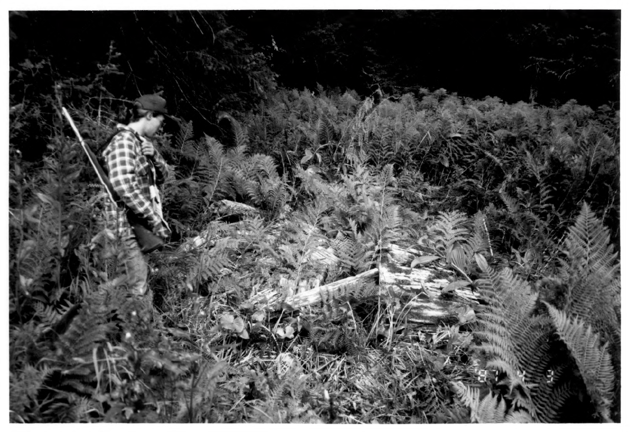